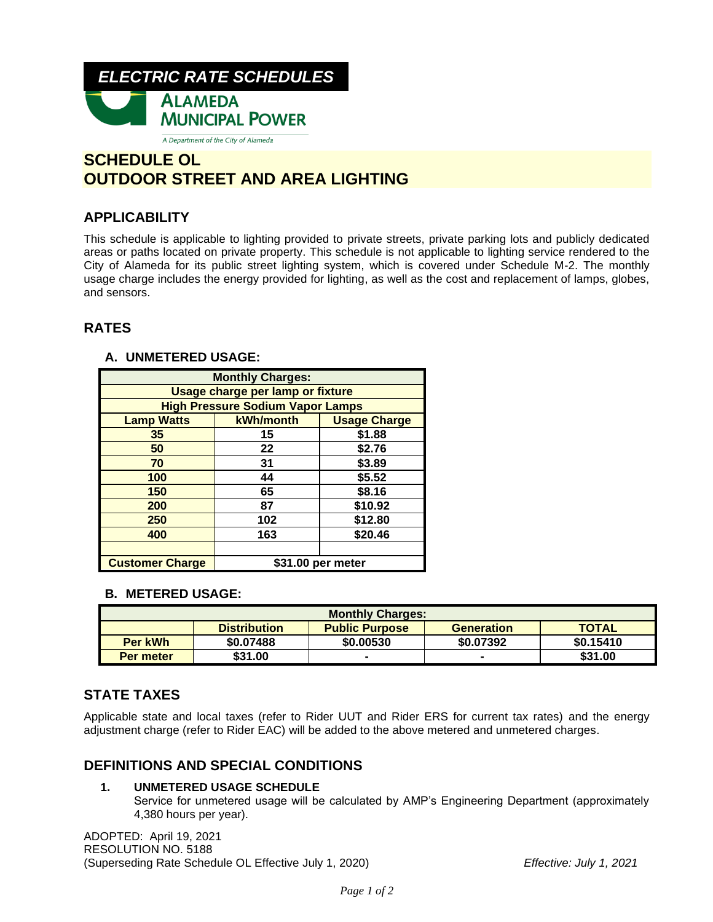

# **SCHEDULE OL OUTDOOR STREET AND AREA LIGHTING**

# **APPLICABILITY**

This schedule is applicable to lighting provided to private streets, private parking lots and publicly dedicated areas or paths located on private property. This schedule is not applicable to lighting service rendered to the City of Alameda for its public street lighting system, which is covered under Schedule M-2. The monthly usage charge includes the energy provided for lighting, as well as the cost and replacement of lamps, globes, and sensors.

# **RATES**

## **A. UNMETERED USAGE:**

| <b>Monthly Charges:</b>                 |                   |                     |  |  |  |
|-----------------------------------------|-------------------|---------------------|--|--|--|
| Usage charge per lamp or fixture        |                   |                     |  |  |  |
| <b>High Pressure Sodium Vapor Lamps</b> |                   |                     |  |  |  |
| <b>Lamp Watts</b>                       | kWh/month         | <b>Usage Charge</b> |  |  |  |
| 35                                      | 15                | \$1.88              |  |  |  |
| 50                                      | 22                | \$2.76              |  |  |  |
| 70                                      | 31                | \$3.89              |  |  |  |
| 100                                     | 44                | \$5.52              |  |  |  |
| 150                                     | 65                | \$8.16              |  |  |  |
| 200                                     | 87                | \$10.92             |  |  |  |
| 250                                     | 102               | \$12.80             |  |  |  |
| 400                                     | 163               | \$20.46             |  |  |  |
|                                         |                   |                     |  |  |  |
| <b>Customer Charge</b>                  | \$31.00 per meter |                     |  |  |  |

## **B. METERED USAGE:**

| <b>Monthly Charges:</b> |                     |                       |                   |              |  |
|-------------------------|---------------------|-----------------------|-------------------|--------------|--|
|                         | <b>Distribution</b> | <b>Public Purpose</b> | <b>Generation</b> | <b>TOTAL</b> |  |
| Per kWh                 | \$0.07488           | \$0.00530             | \$0.07392         | \$0.15410    |  |
| Per meter               | \$31.00             |                       |                   | \$31.00      |  |

# **STATE TAXES**

Applicable state and local taxes (refer to Rider UUT and Rider ERS for current tax rates) and the energy adjustment charge (refer to Rider EAC) will be added to the above metered and unmetered charges.

# **DEFINITIONS AND SPECIAL CONDITIONS**

### **1. UNMETERED USAGE SCHEDULE**

Service for unmetered usage will be calculated by AMP's Engineering Department (approximately 4,380 hours per year).

ADOPTED: April 19, 2021 RESOLUTION NO. 5188 (Superseding Rate Schedule OL Effective July 1, 2020) *Effective: July 1, 2021*